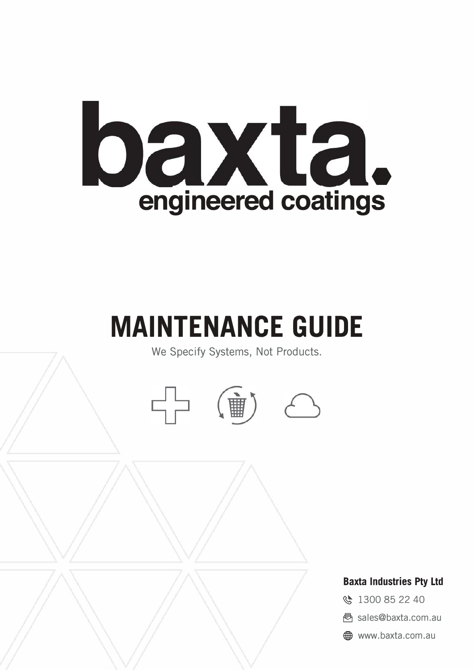

# **MAINTENANCE GUIDE**

We Specify Systems, Not Products.





# **Baxta Industries Pty Ltd**

- 《 1300 85 22 40
- � sales@baxta.com.au
- $\bigoplus$  www.baxta.com.au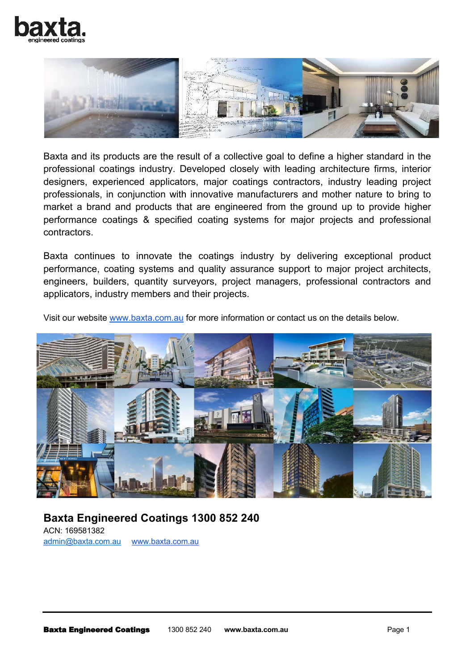



Baxta and its products are the result of a collective goal to define a higher standard in the professional coatings industry. Developed closely with leading architecture firms, interior designers, experienced applicators, major coatings contractors, industry leading project professionals, in conjunction with innovative manufacturers and mother nature to bring to market a brand and products that are engineered from the ground up to provide higher performance coatings & specified coating systems for major projects and professional contractors.

Baxta continues to innovate the coatings industry by delivering exceptional product performance, coating systems and quality assurance support to major project architects, engineers, builders, quantity surveyors, project managers, professional contractors and applicators, industry members and their projects.

Visit our website www.baxta.com.au for more information or contact us on the details below.



**Baxta Engineered Coatings 1300 852 240** ACN: 169581382 admin@baxta.com.au www.baxta.com.au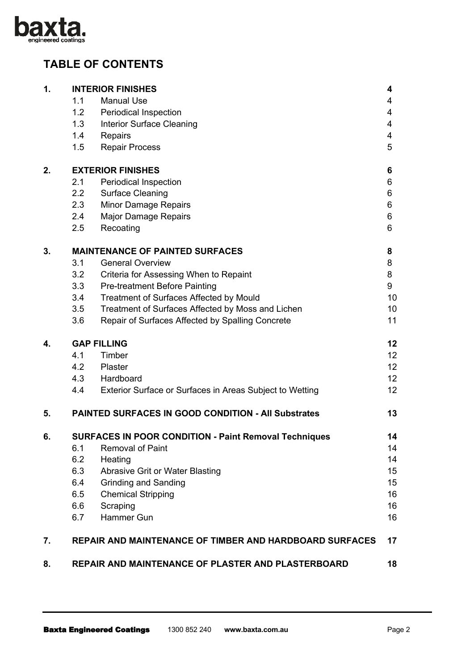

# **TABLE OF CONTENTS**

| $\mathbf{1}$ . |                                                                    | <b>INTERIOR FINISHES</b>                                       | 4               |  |
|----------------|--------------------------------------------------------------------|----------------------------------------------------------------|-----------------|--|
|                | 1.1                                                                | <b>Manual Use</b>                                              | 4               |  |
|                | 1.2                                                                | <b>Periodical Inspection</b>                                   | 4               |  |
|                | 1.3                                                                | <b>Interior Surface Cleaning</b>                               | 4               |  |
|                | 1.4                                                                | Repairs                                                        | 4               |  |
|                | 1.5                                                                | <b>Repair Process</b>                                          | 5               |  |
| 2.             | <b>EXTERIOR FINISHES</b>                                           |                                                                |                 |  |
|                | 2.1                                                                | <b>Periodical Inspection</b>                                   | 6               |  |
|                | 2.2                                                                | <b>Surface Cleaning</b>                                        | 6               |  |
|                | 2.3                                                                | Minor Damage Repairs                                           | 6               |  |
|                | 2.4                                                                | <b>Major Damage Repairs</b>                                    | 6               |  |
|                | 2.5                                                                | Recoating                                                      | 6               |  |
| 3.             | <b>MAINTENANCE OF PAINTED SURFACES</b>                             |                                                                |                 |  |
|                | 3.1                                                                | <b>General Overview</b>                                        | 8               |  |
|                | 3.2                                                                | Criteria for Assessing When to Repaint                         | 8               |  |
|                | 3.3                                                                | <b>Pre-treatment Before Painting</b>                           | 9               |  |
|                | 3.4                                                                | Treatment of Surfaces Affected by Mould                        | 10              |  |
|                | 3.5                                                                | Treatment of Surfaces Affected by Moss and Lichen              | 10              |  |
|                | 3.6                                                                | Repair of Surfaces Affected by Spalling Concrete               | 11              |  |
| 4.             | <b>GAP FILLING</b>                                                 |                                                                |                 |  |
|                | 4.1                                                                | Timber                                                         | 12 <sup>2</sup> |  |
|                | 4.2                                                                | Plaster                                                        | 12              |  |
|                | 4.3                                                                | Hardboard                                                      | 12 <sup>2</sup> |  |
|                | 4.4                                                                | Exterior Surface or Surfaces in Areas Subject to Wetting       | 12              |  |
| 5.             |                                                                    | <b>PAINTED SURFACES IN GOOD CONDITION - All Substrates</b>     | 13              |  |
| 6.             | <b>SURFACES IN POOR CONDITION - Paint Removal Techniques</b><br>14 |                                                                |                 |  |
|                | 6.1                                                                | <b>Removal of Paint</b>                                        | 14              |  |
|                | 6.2                                                                | Heating                                                        | 14              |  |
|                | 6.3                                                                | <b>Abrasive Grit or Water Blasting</b>                         | 15              |  |
|                | 6.4                                                                | <b>Grinding and Sanding</b>                                    | 15              |  |
|                | 6.5                                                                | <b>Chemical Stripping</b>                                      | 16              |  |
|                | 6.6                                                                | Scraping                                                       | 16              |  |
|                | 6.7                                                                | Hammer Gun                                                     | 16              |  |
| 7.             |                                                                    | <b>REPAIR AND MAINTENANCE OF TIMBER AND HARDBOARD SURFACES</b> | 17              |  |
| 8.             | REPAIR AND MAINTENANCE OF PLASTER AND PLASTERBOARD                 |                                                                |                 |  |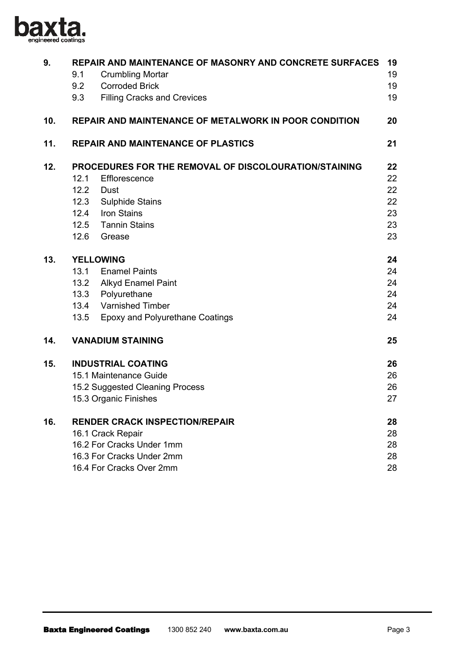

| 9.  | 9.1<br>9.2<br>9.3                                           | <b>REPAIR AND MAINTENANCE OF MASONRY AND CONCRETE SURFACES</b><br><b>Crumbling Mortar</b><br><b>Corroded Brick</b><br><b>Filling Cracks and Crevices</b> | 19<br>19<br>19<br>19 |  |
|-----|-------------------------------------------------------------|----------------------------------------------------------------------------------------------------------------------------------------------------------|----------------------|--|
| 10. |                                                             | REPAIR AND MAINTENANCE OF METALWORK IN POOR CONDITION                                                                                                    | 20                   |  |
| 11. | <b>REPAIR AND MAINTENANCE OF PLASTICS</b>                   |                                                                                                                                                          |                      |  |
| 12. | PROCEDURES FOR THE REMOVAL OF DISCOLOURATION/STAINING<br>22 |                                                                                                                                                          |                      |  |
|     | 12.1                                                        | Efflorescence                                                                                                                                            | 22                   |  |
|     |                                                             | 12.2 Dust                                                                                                                                                | 22                   |  |
|     |                                                             | 12.3 Sulphide Stains                                                                                                                                     | 22                   |  |
|     |                                                             | 12.4 Iron Stains                                                                                                                                         | 23                   |  |
|     |                                                             | 12.5 Tannin Stains                                                                                                                                       | 23                   |  |
|     |                                                             | 12.6 Grease                                                                                                                                              | 23                   |  |
| 13. | <b>YELLOWING</b>                                            |                                                                                                                                                          |                      |  |
|     |                                                             | 13.1 Enamel Paints                                                                                                                                       | 24                   |  |
|     |                                                             | 13.2 Alkyd Enamel Paint                                                                                                                                  | 24                   |  |
|     |                                                             | 13.3 Polyurethane                                                                                                                                        | 24                   |  |
|     |                                                             | 13.4 Varnished Timber                                                                                                                                    | 24                   |  |
|     |                                                             | 13.5 Epoxy and Polyurethane Coatings                                                                                                                     | 24                   |  |
| 14. | <b>VANADIUM STAINING</b>                                    |                                                                                                                                                          | 25                   |  |
| 15. |                                                             | <b>INDUSTRIAL COATING</b>                                                                                                                                | 26                   |  |
|     |                                                             | 15.1 Maintenance Guide                                                                                                                                   | 26                   |  |
|     |                                                             | 15.2 Suggested Cleaning Process                                                                                                                          | 26                   |  |
|     |                                                             | 15.3 Organic Finishes                                                                                                                                    | 27                   |  |
| 16. | <b>RENDER CRACK INSPECTION/REPAIR</b>                       |                                                                                                                                                          |                      |  |
|     | 16.1 Crack Repair                                           |                                                                                                                                                          |                      |  |
|     |                                                             | 16.2 For Cracks Under 1mm                                                                                                                                | 28                   |  |
|     |                                                             | 16.3 For Cracks Under 2mm                                                                                                                                | 28                   |  |
|     |                                                             | 16.4 For Cracks Over 2mm                                                                                                                                 | 28                   |  |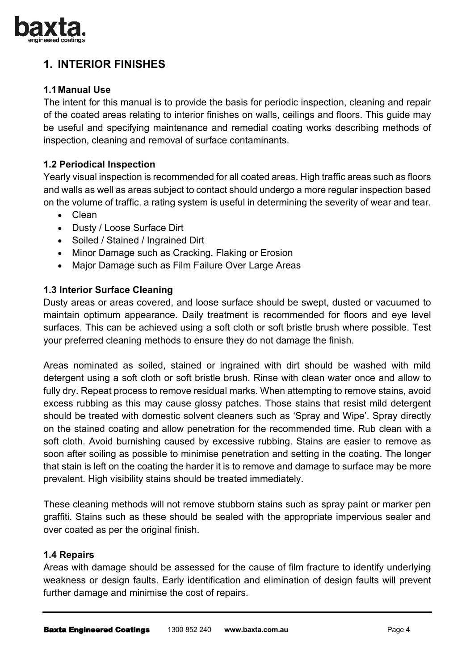

# **1. INTERIOR FINISHES**

## **1.1 Manual Use**

The intent for this manual is to provide the basis for periodic inspection, cleaning and repair of the coated areas relating to interior finishes on walls, ceilings and floors. This guide may be useful and specifying maintenance and remedial coating works describing methods of inspection, cleaning and removal of surface contaminants.

## **1.2 Periodical Inspection**

Yearly visual inspection is recommended for all coated areas. High traffic areas such as floors and walls as well as areas subject to contact should undergo a more regular inspection based on the volume of traffic. a rating system is useful in determining the severity of wear and tear.

- Clean
- Dusty / Loose Surface Dirt
- Soiled / Stained / Ingrained Dirt
- Minor Damage such as Cracking, Flaking or Erosion
- Major Damage such as Film Failure Over Large Areas

## **1.3 Interior Surface Cleaning**

Dusty areas or areas covered, and loose surface should be swept, dusted or vacuumed to maintain optimum appearance. Daily treatment is recommended for floors and eye level surfaces. This can be achieved using a soft cloth or soft bristle brush where possible. Test your preferred cleaning methods to ensure they do not damage the finish.

Areas nominated as soiled, stained or ingrained with dirt should be washed with mild detergent using a soft cloth or soft bristle brush. Rinse with clean water once and allow to fully dry. Repeat process to remove residual marks. When attempting to remove stains, avoid excess rubbing as this may cause glossy patches. Those stains that resist mild detergent should be treated with domestic solvent cleaners such as 'Spray and Wipe'. Spray directly on the stained coating and allow penetration for the recommended time. Rub clean with a soft cloth. Avoid burnishing caused by excessive rubbing. Stains are easier to remove as soon after soiling as possible to minimise penetration and setting in the coating. The longer that stain is left on the coating the harder it is to remove and damage to surface may be more prevalent. High visibility stains should be treated immediately.

These cleaning methods will not remove stubborn stains such as spray paint or marker pen graffiti. Stains such as these should be sealed with the appropriate impervious sealer and over coated as per the original finish.

#### **1.4 Repairs**

Areas with damage should be assessed for the cause of film fracture to identify underlying weakness or design faults. Early identification and elimination of design faults will prevent further damage and minimise the cost of repairs.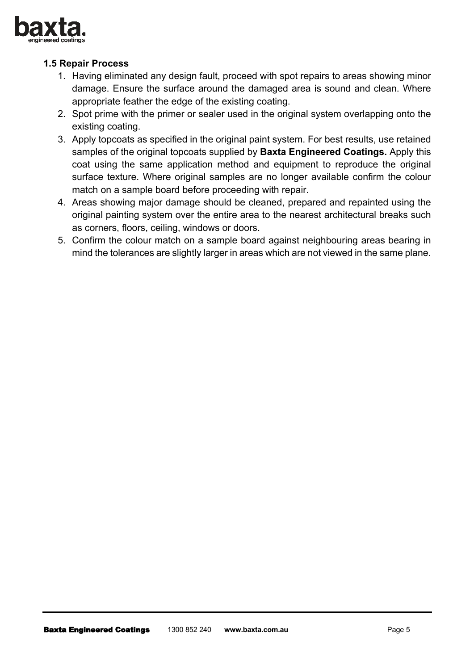

# **1.5 Repair Process**

- 1. Having eliminated any design fault, proceed with spot repairs to areas showing minor damage. Ensure the surface around the damaged area is sound and clean. Where appropriate feather the edge of the existing coating.
- 2. Spot prime with the primer or sealer used in the original system overlapping onto the existing coating.
- 3. Apply topcoats as specified in the original paint system. For best results, use retained samples of the original topcoats supplied by **Baxta Engineered Coatings.** Apply this coat using the same application method and equipment to reproduce the original surface texture. Where original samples are no longer available confirm the colour match on a sample board before proceeding with repair.
- 4. Areas showing major damage should be cleaned, prepared and repainted using the original painting system over the entire area to the nearest architectural breaks such as corners, floors, ceiling, windows or doors.
- 5. Confirm the colour match on a sample board against neighbouring areas bearing in mind the tolerances are slightly larger in areas which are not viewed in the same plane.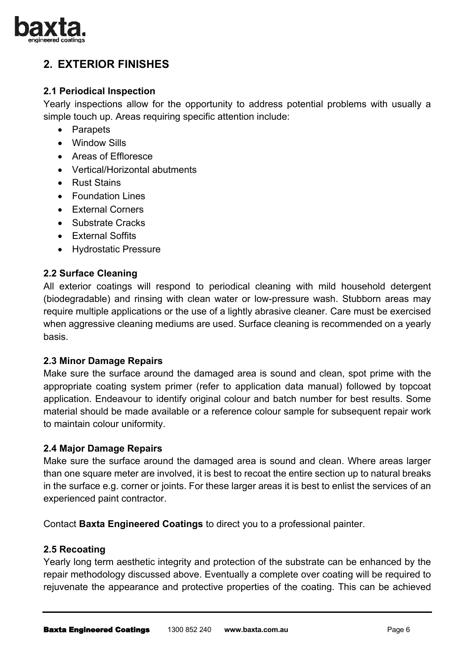

# **2. EXTERIOR FINISHES**

# **2.1 Periodical Inspection**

Yearly inspections allow for the opportunity to address potential problems with usually a simple touch up. Areas requiring specific attention include:

- Parapets
- Window Sills
- Areas of Effloresce
- Vertical/Horizontal abutments
- Rust Stains
- Foundation Lines
- External Corners
- Substrate Cracks
- External Soffits
- Hydrostatic Pressure

## **2.2 Surface Cleaning**

All exterior coatings will respond to periodical cleaning with mild household detergent (biodegradable) and rinsing with clean water or low-pressure wash. Stubborn areas may require multiple applications or the use of a lightly abrasive cleaner. Care must be exercised when aggressive cleaning mediums are used. Surface cleaning is recommended on a yearly basis.

#### **2.3 Minor Damage Repairs**

Make sure the surface around the damaged area is sound and clean, spot prime with the appropriate coating system primer (refer to application data manual) followed by topcoat application. Endeavour to identify original colour and batch number for best results. Some material should be made available or a reference colour sample for subsequent repair work to maintain colour uniformity.

#### **2.4 Major Damage Repairs**

Make sure the surface around the damaged area is sound and clean. Where areas larger than one square meter are involved, it is best to recoat the entire section up to natural breaks in the surface e.g. corner or joints. For these larger areas it is best to enlist the services of an experienced paint contractor.

Contact **Baxta Engineered Coatings** to direct you to a professional painter.

#### **2.5 Recoating**

Yearly long term aesthetic integrity and protection of the substrate can be enhanced by the repair methodology discussed above. Eventually a complete over coating will be required to rejuvenate the appearance and protective properties of the coating. This can be achieved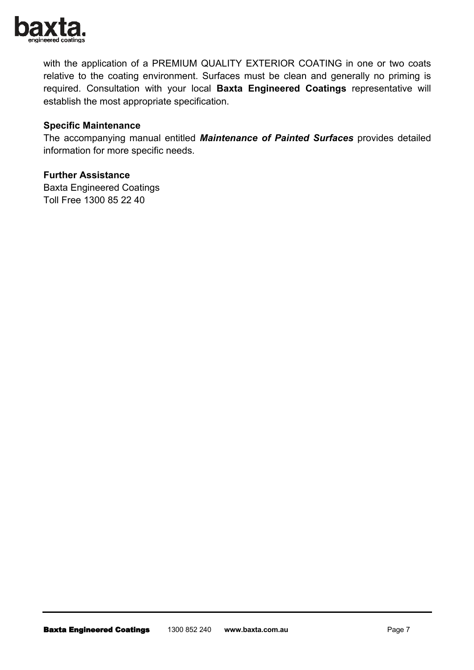

with the application of a PREMIUM QUALITY EXTERIOR COATING in one or two coats relative to the coating environment. Surfaces must be clean and generally no priming is required. Consultation with your local **Baxta Engineered Coatings** representative will establish the most appropriate specification.

## **Specific Maintenance**

The accompanying manual entitled *Maintenance of Painted Surfaces* provides detailed information for more specific needs.

#### **Further Assistance**

Baxta Engineered Coatings Toll Free 1300 85 22 40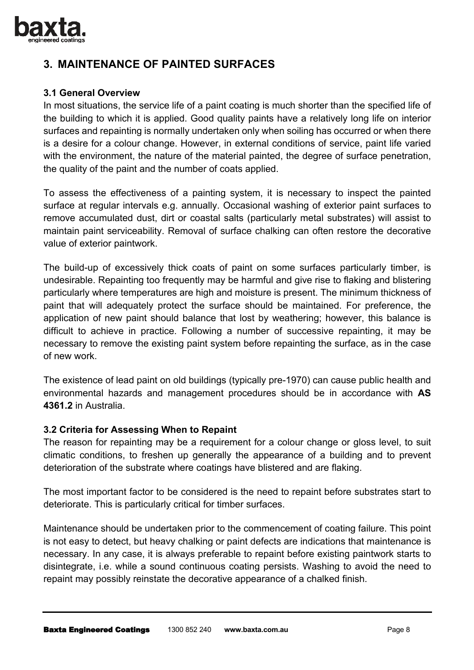

# **3. MAINTENANCE OF PAINTED SURFACES**

## **3.1 General Overview**

In most situations, the service life of a paint coating is much shorter than the specified life of the building to which it is applied. Good quality paints have a relatively long life on interior surfaces and repainting is normally undertaken only when soiling has occurred or when there is a desire for a colour change. However, in external conditions of service, paint life varied with the environment, the nature of the material painted, the degree of surface penetration, the quality of the paint and the number of coats applied.

To assess the effectiveness of a painting system, it is necessary to inspect the painted surface at regular intervals e.g. annually. Occasional washing of exterior paint surfaces to remove accumulated dust, dirt or coastal salts (particularly metal substrates) will assist to maintain paint serviceability. Removal of surface chalking can often restore the decorative value of exterior paintwork.

The build-up of excessively thick coats of paint on some surfaces particularly timber, is undesirable. Repainting too frequently may be harmful and give rise to flaking and blistering particularly where temperatures are high and moisture is present. The minimum thickness of paint that will adequately protect the surface should be maintained. For preference, the application of new paint should balance that lost by weathering; however, this balance is difficult to achieve in practice. Following a number of successive repainting, it may be necessary to remove the existing paint system before repainting the surface, as in the case of new work.

The existence of lead paint on old buildings (typically pre-1970) can cause public health and environmental hazards and management procedures should be in accordance with **AS 4361.2** in Australia.

# **3.2 Criteria for Assessing When to Repaint**

The reason for repainting may be a requirement for a colour change or gloss level, to suit climatic conditions, to freshen up generally the appearance of a building and to prevent deterioration of the substrate where coatings have blistered and are flaking.

The most important factor to be considered is the need to repaint before substrates start to deteriorate. This is particularly critical for timber surfaces.

Maintenance should be undertaken prior to the commencement of coating failure. This point is not easy to detect, but heavy chalking or paint defects are indications that maintenance is necessary. In any case, it is always preferable to repaint before existing paintwork starts to disintegrate, i.e. while a sound continuous coating persists. Washing to avoid the need to repaint may possibly reinstate the decorative appearance of a chalked finish.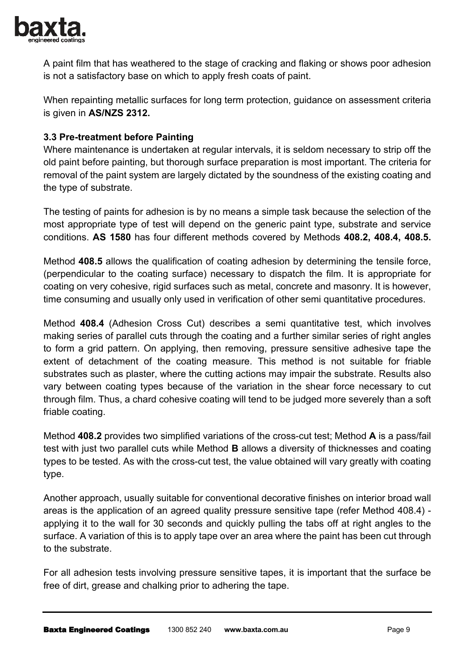

A paint film that has weathered to the stage of cracking and flaking or shows poor adhesion is not a satisfactory base on which to apply fresh coats of paint.

When repainting metallic surfaces for long term protection, guidance on assessment criteria is given in **AS/NZS 2312.**

## **3.3 Pre-treatment before Painting**

Where maintenance is undertaken at regular intervals, it is seldom necessary to strip off the old paint before painting, but thorough surface preparation is most important. The criteria for removal of the paint system are largely dictated by the soundness of the existing coating and the type of substrate.

The testing of paints for adhesion is by no means a simple task because the selection of the most appropriate type of test will depend on the generic paint type, substrate and service conditions. **AS 1580** has four different methods covered by Methods **408.2, 408.4, 408.5.** 

Method **408.5** allows the qualification of coating adhesion by determining the tensile force, (perpendicular to the coating surface) necessary to dispatch the film. It is appropriate for coating on very cohesive, rigid surfaces such as metal, concrete and masonry. It is however, time consuming and usually only used in verification of other semi quantitative procedures.

Method **408.4** (Adhesion Cross Cut) describes a semi quantitative test, which involves making series of parallel cuts through the coating and a further similar series of right angles to form a grid pattern. On applying, then removing, pressure sensitive adhesive tape the extent of detachment of the coating measure. This method is not suitable for friable substrates such as plaster, where the cutting actions may impair the substrate. Results also vary between coating types because of the variation in the shear force necessary to cut through film. Thus, a chard cohesive coating will tend to be judged more severely than a soft friable coating.

Method **408.2** provides two simplified variations of the cross-cut test; Method **A** is a pass/fail test with just two parallel cuts while Method **B** allows a diversity of thicknesses and coating types to be tested. As with the cross-cut test, the value obtained will vary greatly with coating type.

Another approach, usually suitable for conventional decorative finishes on interior broad wall areas is the application of an agreed quality pressure sensitive tape (refer Method 408.4) applying it to the wall for 30 seconds and quickly pulling the tabs off at right angles to the surface. A variation of this is to apply tape over an area where the paint has been cut through to the substrate.

For all adhesion tests involving pressure sensitive tapes, it is important that the surface be free of dirt, grease and chalking prior to adhering the tape.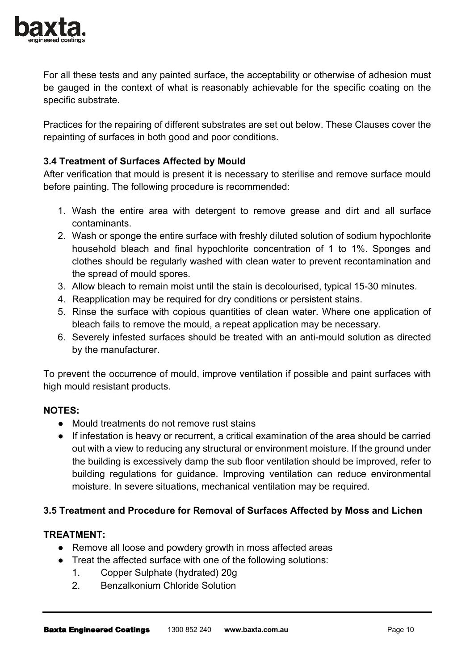

For all these tests and any painted surface, the acceptability or otherwise of adhesion must be gauged in the context of what is reasonably achievable for the specific coating on the specific substrate.

Practices for the repairing of different substrates are set out below. These Clauses cover the repainting of surfaces in both good and poor conditions.

# **3.4 Treatment of Surfaces Affected by Mould**

After verification that mould is present it is necessary to sterilise and remove surface mould before painting. The following procedure is recommended:

- 1. Wash the entire area with detergent to remove grease and dirt and all surface contaminants.
- 2. Wash or sponge the entire surface with freshly diluted solution of sodium hypochlorite household bleach and final hypochlorite concentration of 1 to 1%. Sponges and clothes should be regularly washed with clean water to prevent recontamination and the spread of mould spores.
- 3. Allow bleach to remain moist until the stain is decolourised, typical 15-30 minutes.
- 4. Reapplication may be required for dry conditions or persistent stains.
- 5. Rinse the surface with copious quantities of clean water. Where one application of bleach fails to remove the mould, a repeat application may be necessary.
- 6. Severely infested surfaces should be treated with an anti-mould solution as directed by the manufacturer.

To prevent the occurrence of mould, improve ventilation if possible and paint surfaces with high mould resistant products.

# **NOTES:**

- Mould treatments do not remove rust stains
- If infestation is heavy or recurrent, a critical examination of the area should be carried out with a view to reducing any structural or environment moisture. If the ground under the building is excessively damp the sub floor ventilation should be improved, refer to building regulations for guidance. Improving ventilation can reduce environmental moisture. In severe situations, mechanical ventilation may be required.

# **3.5 Treatment and Procedure for Removal of Surfaces Affected by Moss and Lichen**

#### **TREATMENT:**

- Remove all loose and powdery growth in moss affected areas
- Treat the affected surface with one of the following solutions:
	- 1. Copper Sulphate (hydrated) 20g
	- 2. Benzalkonium Chloride Solution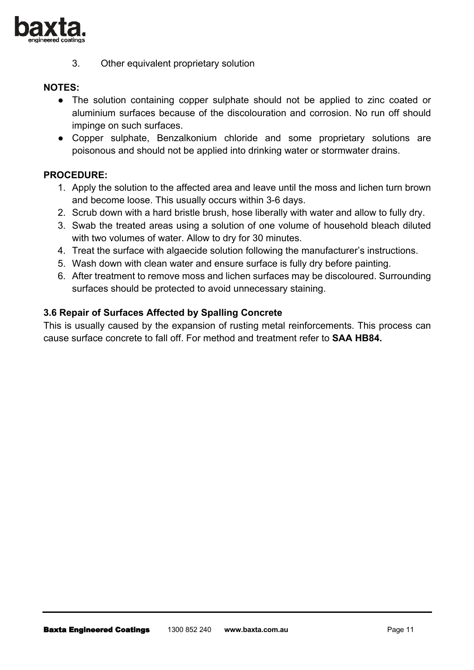

3. Other equivalent proprietary solution

## **NOTES:**

- The solution containing copper sulphate should not be applied to zinc coated or aluminium surfaces because of the discolouration and corrosion. No run off should impinge on such surfaces.
- Copper sulphate, Benzalkonium chloride and some proprietary solutions are poisonous and should not be applied into drinking water or stormwater drains.

## **PROCEDURE:**

- 1. Apply the solution to the affected area and leave until the moss and lichen turn brown and become loose. This usually occurs within 3-6 days.
- 2. Scrub down with a hard bristle brush, hose liberally with water and allow to fully dry.
- 3. Swab the treated areas using a solution of one volume of household bleach diluted with two volumes of water. Allow to dry for 30 minutes.
- 4. Treat the surface with algaecide solution following the manufacturer's instructions.
- 5. Wash down with clean water and ensure surface is fully dry before painting.
- 6. After treatment to remove moss and lichen surfaces may be discoloured. Surrounding surfaces should be protected to avoid unnecessary staining.

## **3.6 Repair of Surfaces Affected by Spalling Concrete**

This is usually caused by the expansion of rusting metal reinforcements. This process can cause surface concrete to fall off. For method and treatment refer to **SAA HB84.**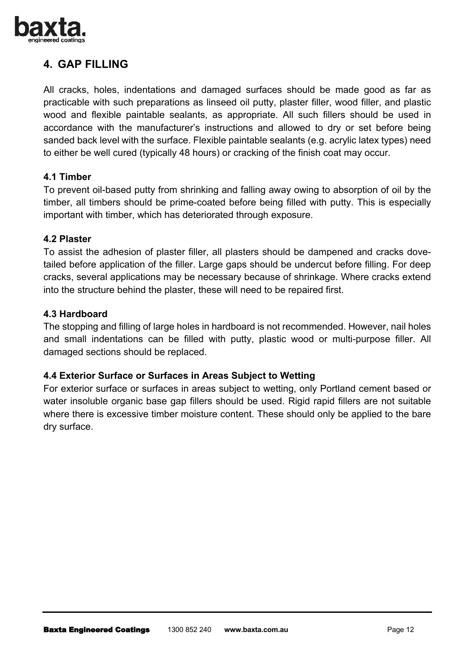

# **4. GAP FILLING**

All cracks, holes, indentations and damaged surfaces should be made good as far as practicable with such preparations as linseed oil putty, plaster filler, wood filler, and plastic wood and flexible paintable sealants, as appropriate. All such fillers should be used in accordance with the manufacturer's instructions and allowed to dry or set before being sanded back level with the surface. Flexible paintable sealants (e.g. acrylic latex types) need to either be well cured (typically 48 hours) or cracking of the finish coat may occur.

## **4.1 Timber**

To prevent oil-based putty from shrinking and falling away owing to absorption of oil by the timber, all timbers should be prime-coated before being filled with putty. This is especially important with timber, which has deteriorated through exposure.

## **4.2 Plaster**

To assist the adhesion of plaster filler, all plasters should be dampened and cracks dovetailed before application of the filler. Large gaps should be undercut before filling. For deep cracks, several applications may be necessary because of shrinkage. Where cracks extend into the structure behind the plaster, these will need to be repaired first.

## **4.3 Hardboard**

The stopping and filling of large holes in hardboard is not recommended. However, nail holes and small indentations can be filled with putty, plastic wood or multi-purpose filler. All damaged sections should be replaced.

# **4.4 Exterior Surface or Surfaces in Areas Subject to Wetting**

For exterior surface or surfaces in areas subject to wetting, only Portland cement based or water insoluble organic base gap fillers should be used. Rigid rapid fillers are not suitable where there is excessive timber moisture content. These should only be applied to the bare dry surface.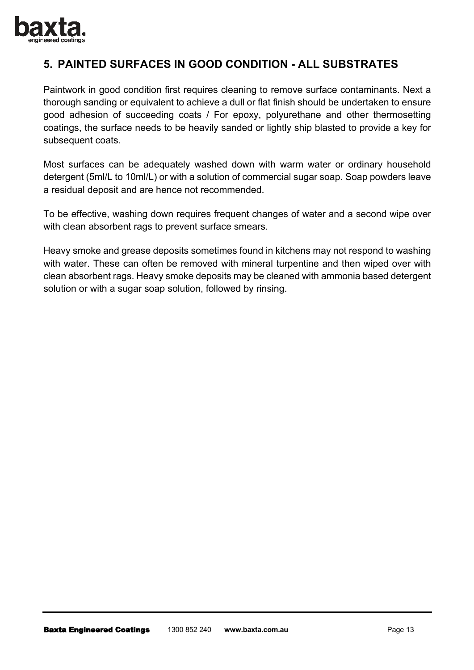

# **5. PAINTED SURFACES IN GOOD CONDITION - ALL SUBSTRATES**

Paintwork in good condition first requires cleaning to remove surface contaminants. Next a thorough sanding or equivalent to achieve a dull or flat finish should be undertaken to ensure good adhesion of succeeding coats / For epoxy, polyurethane and other thermosetting coatings, the surface needs to be heavily sanded or lightly ship blasted to provide a key for subsequent coats.

Most surfaces can be adequately washed down with warm water or ordinary household detergent (5ml/L to 10ml/L) or with a solution of commercial sugar soap. Soap powders leave a residual deposit and are hence not recommended.

To be effective, washing down requires frequent changes of water and a second wipe over with clean absorbent rags to prevent surface smears.

Heavy smoke and grease deposits sometimes found in kitchens may not respond to washing with water. These can often be removed with mineral turpentine and then wiped over with clean absorbent rags. Heavy smoke deposits may be cleaned with ammonia based detergent solution or with a sugar soap solution, followed by rinsing.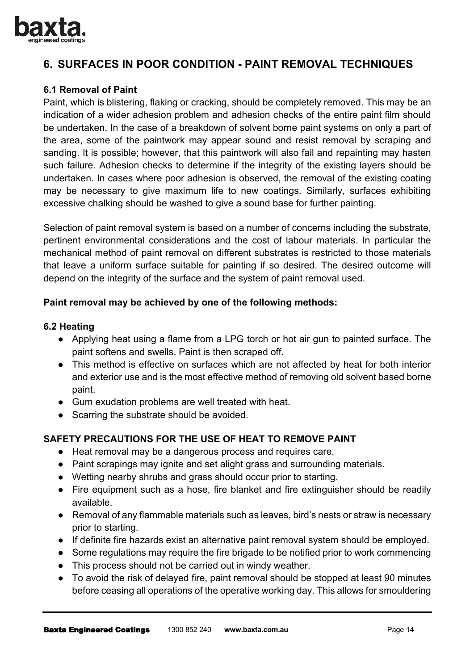

# **6. SURFACES IN POOR CONDITION - PAINT REMOVAL TECHNIQUES**

# **6.1 Removal of Paint**

Paint, which is blistering, flaking or cracking, should be completely removed. This may be an indication of a wider adhesion problem and adhesion checks of the entire paint film should be undertaken. In the case of a breakdown of solvent borne paint systems on only a part of the area, some of the paintwork may appear sound and resist removal by scraping and sanding. It is possible; however, that this paintwork will also fail and repainting may hasten such failure. Adhesion checks to determine if the integrity of the existing layers should be undertaken. In cases where poor adhesion is observed, the removal of the existing coating may be necessary to give maximum life to new coatings. Similarly, surfaces exhibiting excessive chalking should be washed to give a sound base for further painting.

Selection of paint removal system is based on a number of concerns including the substrate, pertinent environmental considerations and the cost of labour materials. In particular the mechanical method of paint removal on different substrates is restricted to those materials that leave a uniform surface suitable for painting if so desired. The desired outcome will depend on the integrity of the surface and the system of paint removal used.

## **Paint removal may be achieved by one of the following methods:**

#### **6.2 Heating**

- Applying heat using a flame from a LPG torch or hot air gun to painted surface. The paint softens and swells. Paint is then scraped off.
- This method is effective on surfaces which are not affected by heat for both interior and exterior use and is the most effective method of removing old solvent based borne paint.
- Gum exudation problems are well treated with heat.
- Scarring the substrate should be avoided.

# **SAFETY PRECAUTIONS FOR THE USE OF HEAT TO REMOVE PAINT**

- Heat removal may be a dangerous process and requires care.
- Paint scrapings may ignite and set alight grass and surrounding materials.
- Wetting nearby shrubs and grass should occur prior to starting.
- Fire equipment such as a hose, fire blanket and fire extinguisher should be readily available.
- Removal of any flammable materials such as leaves, bird's nests or straw is necessary prior to starting.
- If definite fire hazards exist an alternative paint removal system should be employed.
- Some regulations may reguire the fire brigade to be notified prior to work commencing
- This process should not be carried out in windy weather.
- To avoid the risk of delayed fire, paint removal should be stopped at least 90 minutes before ceasing all operations of the operative working day. This allows for smouldering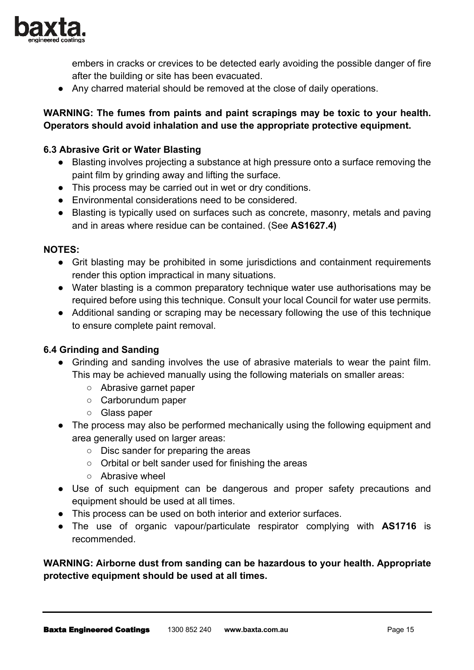

embers in cracks or crevices to be detected early avoiding the possible danger of fire after the building or site has been evacuated.

● Any charred material should be removed at the close of daily operations.

# **WARNING: The fumes from paints and paint scrapings may be toxic to your health. Operators should avoid inhalation and use the appropriate protective equipment.**

## **6.3 Abrasive Grit or Water Blasting**

- Blasting involves projecting a substance at high pressure onto a surface removing the paint film by grinding away and lifting the surface.
- This process may be carried out in wet or dry conditions.
- Environmental considerations need to be considered.
- Blasting is typically used on surfaces such as concrete, masonry, metals and paving and in areas where residue can be contained. (See **AS1627.4)**

#### **NOTES:**

- Grit blasting may be prohibited in some jurisdictions and containment requirements render this option impractical in many situations.
- Water blasting is a common preparatory technique water use authorisations may be required before using this technique. Consult your local Council for water use permits.
- Additional sanding or scraping may be necessary following the use of this technique to ensure complete paint removal.

#### **6.4 Grinding and Sanding**

- Grinding and sanding involves the use of abrasive materials to wear the paint film. This may be achieved manually using the following materials on smaller areas:
	- Abrasive garnet paper
	- Carborundum paper
	- Glass paper
- The process may also be performed mechanically using the following equipment and area generally used on larger areas:
	- Disc sander for preparing the areas
	- Orbital or belt sander used for finishing the areas
	- Abrasive wheel
- Use of such equipment can be dangerous and proper safety precautions and equipment should be used at all times.
- This process can be used on both interior and exterior surfaces.
- The use of organic vapour/particulate respirator complying with **AS1716** is recommended.

**WARNING: Airborne dust from sanding can be hazardous to your health. Appropriate protective equipment should be used at all times.**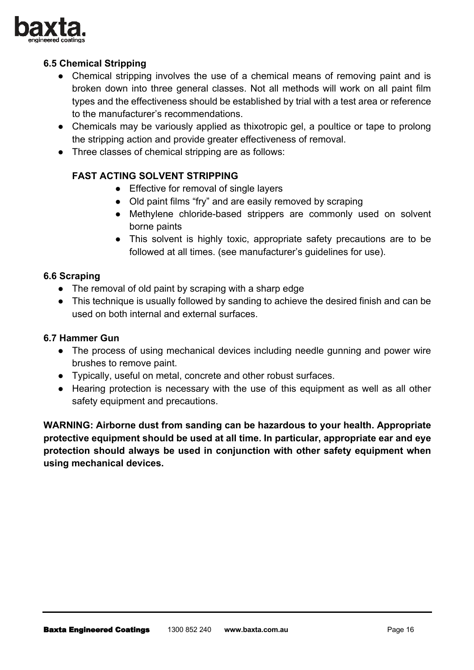

# **6.5 Chemical Stripping**

- Chemical stripping involves the use of a chemical means of removing paint and is broken down into three general classes. Not all methods will work on all paint film types and the effectiveness should be established by trial with a test area or reference to the manufacturer's recommendations.
- Chemicals may be variously applied as thixotropic gel, a poultice or tape to prolong the stripping action and provide greater effectiveness of removal.
- Three classes of chemical stripping are as follows:

# **FAST ACTING SOLVENT STRIPPING**

- Effective for removal of single layers
- Old paint films "fry" and are easily removed by scraping
- Methylene chloride-based strippers are commonly used on solvent borne paints
- This solvent is highly toxic, appropriate safety precautions are to be followed at all times. (see manufacturer's guidelines for use).

## **6.6 Scraping**

- The removal of old paint by scraping with a sharp edge
- This technique is usually followed by sanding to achieve the desired finish and can be used on both internal and external surfaces.

#### **6.7 Hammer Gun**

- The process of using mechanical devices including needle gunning and power wire brushes to remove paint.
- Typically, useful on metal, concrete and other robust surfaces.
- Hearing protection is necessary with the use of this equipment as well as all other safety equipment and precautions.

**WARNING: Airborne dust from sanding can be hazardous to your health. Appropriate protective equipment should be used at all time. In particular, appropriate ear and eye protection should always be used in conjunction with other safety equipment when using mechanical devices.**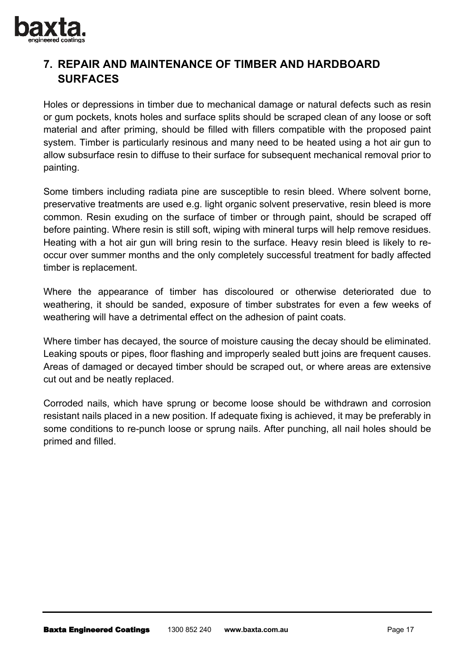

# **7. REPAIR AND MAINTENANCE OF TIMBER AND HARDBOARD SURFACES**

Holes or depressions in timber due to mechanical damage or natural defects such as resin or gum pockets, knots holes and surface splits should be scraped clean of any loose or soft material and after priming, should be filled with fillers compatible with the proposed paint system. Timber is particularly resinous and many need to be heated using a hot air gun to allow subsurface resin to diffuse to their surface for subsequent mechanical removal prior to painting.

Some timbers including radiata pine are susceptible to resin bleed. Where solvent borne, preservative treatments are used e.g. light organic solvent preservative, resin bleed is more common. Resin exuding on the surface of timber or through paint, should be scraped off before painting. Where resin is still soft, wiping with mineral turps will help remove residues. Heating with a hot air gun will bring resin to the surface. Heavy resin bleed is likely to reoccur over summer months and the only completely successful treatment for badly affected timber is replacement.

Where the appearance of timber has discoloured or otherwise deteriorated due to weathering, it should be sanded, exposure of timber substrates for even a few weeks of weathering will have a detrimental effect on the adhesion of paint coats.

Where timber has decayed, the source of moisture causing the decay should be eliminated. Leaking spouts or pipes, floor flashing and improperly sealed butt joins are frequent causes. Areas of damaged or decayed timber should be scraped out, or where areas are extensive cut out and be neatly replaced.

Corroded nails, which have sprung or become loose should be withdrawn and corrosion resistant nails placed in a new position. If adequate fixing is achieved, it may be preferably in some conditions to re-punch loose or sprung nails. After punching, all nail holes should be primed and filled.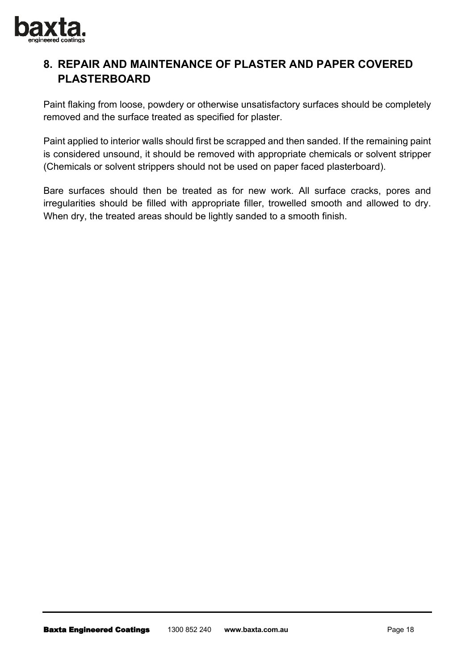

# **8. REPAIR AND MAINTENANCE OF PLASTER AND PAPER COVERED PLASTERBOARD**

Paint flaking from loose, powdery or otherwise unsatisfactory surfaces should be completely removed and the surface treated as specified for plaster.

Paint applied to interior walls should first be scrapped and then sanded. If the remaining paint is considered unsound, it should be removed with appropriate chemicals or solvent stripper (Chemicals or solvent strippers should not be used on paper faced plasterboard).

Bare surfaces should then be treated as for new work. All surface cracks, pores and irregularities should be filled with appropriate filler, trowelled smooth and allowed to dry. When dry, the treated areas should be lightly sanded to a smooth finish.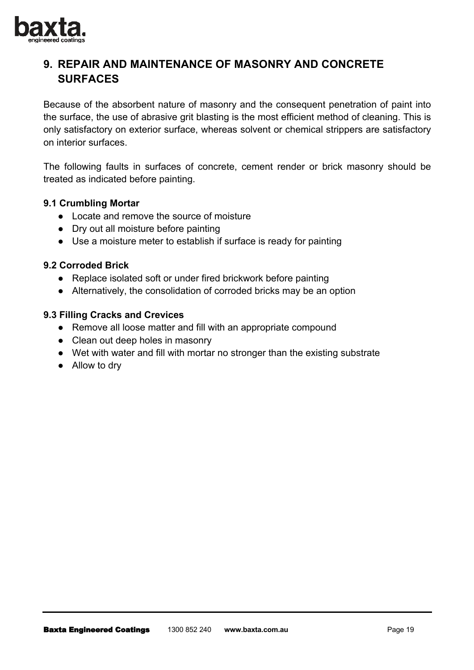

# **9. REPAIR AND MAINTENANCE OF MASONRY AND CONCRETE SURFACES**

Because of the absorbent nature of masonry and the consequent penetration of paint into the surface, the use of abrasive grit blasting is the most efficient method of cleaning. This is only satisfactory on exterior surface, whereas solvent or chemical strippers are satisfactory on interior surfaces.

The following faults in surfaces of concrete, cement render or brick masonry should be treated as indicated before painting.

#### **9.1 Crumbling Mortar**

- Locate and remove the source of moisture
- Dry out all moisture before painting
- Use a moisture meter to establish if surface is ready for painting

#### **9.2 Corroded Brick**

- Replace isolated soft or under fired brickwork before painting
- Alternatively, the consolidation of corroded bricks may be an option

## **9.3 Filling Cracks and Crevices**

- Remove all loose matter and fill with an appropriate compound
- Clean out deep holes in masonry
- Wet with water and fill with mortar no stronger than the existing substrate
- Allow to dry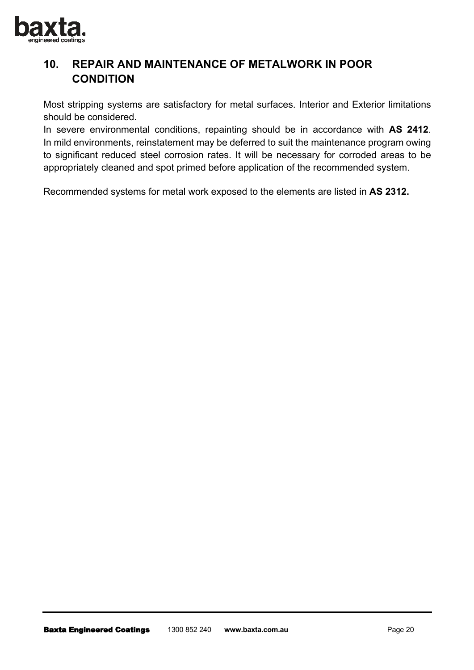

# **10. REPAIR AND MAINTENANCE OF METALWORK IN POOR CONDITION**

Most stripping systems are satisfactory for metal surfaces. Interior and Exterior limitations should be considered.

In severe environmental conditions, repainting should be in accordance with **AS 2412**. In mild environments, reinstatement may be deferred to suit the maintenance program owing to significant reduced steel corrosion rates. It will be necessary for corroded areas to be appropriately cleaned and spot primed before application of the recommended system.

Recommended systems for metal work exposed to the elements are listed in **AS 2312.**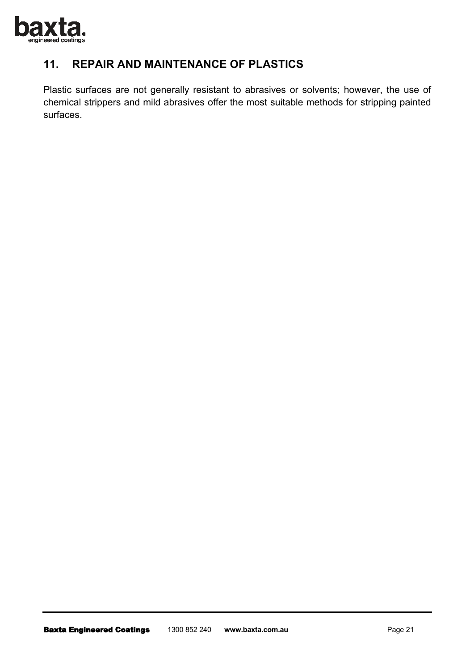

# **11. REPAIR AND MAINTENANCE OF PLASTICS**

Plastic surfaces are not generally resistant to abrasives or solvents; however, the use of chemical strippers and mild abrasives offer the most suitable methods for stripping painted surfaces.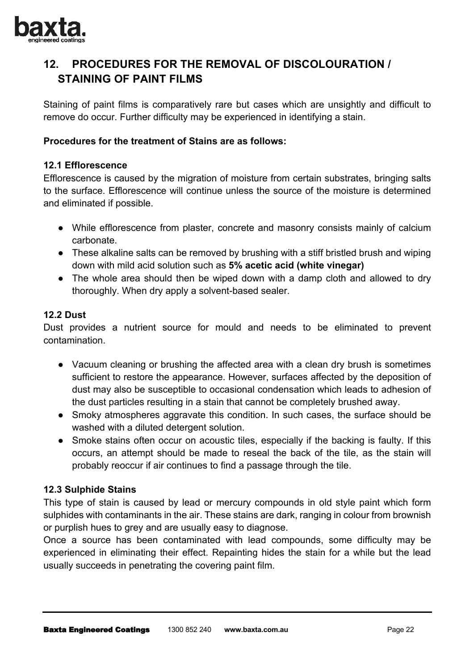

# **12. PROCEDURES FOR THE REMOVAL OF DISCOLOURATION / STAINING OF PAINT FILMS**

Staining of paint films is comparatively rare but cases which are unsightly and difficult to remove do occur. Further difficulty may be experienced in identifying a stain.

## **Procedures for the treatment of Stains are as follows:**

#### **12.1 Efflorescence**

Efflorescence is caused by the migration of moisture from certain substrates, bringing salts to the surface. Efflorescence will continue unless the source of the moisture is determined and eliminated if possible.

- While efflorescence from plaster, concrete and masonry consists mainly of calcium carbonate.
- These alkaline salts can be removed by brushing with a stiff bristled brush and wiping down with mild acid solution such as **5% acetic acid (white vinegar)**
- The whole area should then be wiped down with a damp cloth and allowed to dry thoroughly. When dry apply a solvent-based sealer.

## **12.2 Dust**

Dust provides a nutrient source for mould and needs to be eliminated to prevent contamination.

- Vacuum cleaning or brushing the affected area with a clean dry brush is sometimes sufficient to restore the appearance. However, surfaces affected by the deposition of dust may also be susceptible to occasional condensation which leads to adhesion of the dust particles resulting in a stain that cannot be completely brushed away.
- Smoky atmospheres aggravate this condition. In such cases, the surface should be washed with a diluted detergent solution.
- Smoke stains often occur on acoustic tiles, especially if the backing is faulty. If this occurs, an attempt should be made to reseal the back of the tile, as the stain will probably reoccur if air continues to find a passage through the tile.

# **12.3 Sulphide Stains**

This type of stain is caused by lead or mercury compounds in old style paint which form sulphides with contaminants in the air. These stains are dark, ranging in colour from brownish or purplish hues to grey and are usually easy to diagnose.

Once a source has been contaminated with lead compounds, some difficulty may be experienced in eliminating their effect. Repainting hides the stain for a while but the lead usually succeeds in penetrating the covering paint film.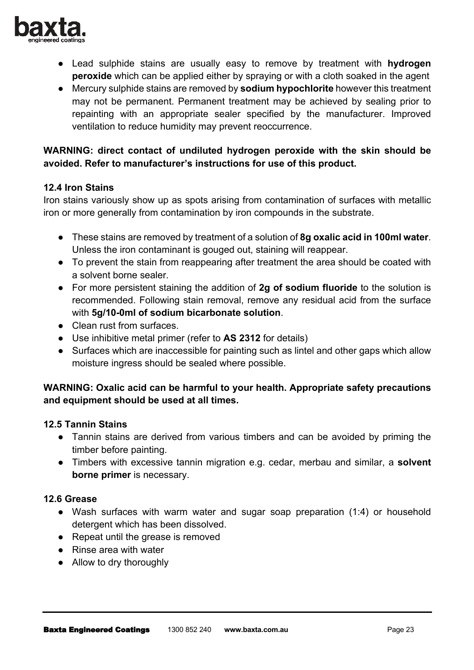

- Lead sulphide stains are usually easy to remove by treatment with **hydrogen peroxide** which can be applied either by spraying or with a cloth soaked in the agent
- Mercury sulphide stains are removed by **sodium hypochlorite** however this treatment may not be permanent. Permanent treatment may be achieved by sealing prior to repainting with an appropriate sealer specified by the manufacturer. Improved ventilation to reduce humidity may prevent reoccurrence.

# **WARNING: direct contact of undiluted hydrogen peroxide with the skin should be avoided. Refer to manufacturer's instructions for use of this product.**

## **12.4 Iron Stains**

Iron stains variously show up as spots arising from contamination of surfaces with metallic iron or more generally from contamination by iron compounds in the substrate.

- These stains are removed by treatment of a solution of **8g oxalic acid in 100ml water**. Unless the iron contaminant is gouged out, staining will reappear.
- To prevent the stain from reappearing after treatment the area should be coated with a solvent borne sealer.
- For more persistent staining the addition of **2g of sodium fluoride** to the solution is recommended. Following stain removal, remove any residual acid from the surface with **5g/10-0ml of sodium bicarbonate solution**.
- Clean rust from surfaces.
- Use inhibitive metal primer (refer to **AS 2312** for details)
- Surfaces which are inaccessible for painting such as lintel and other gaps which allow moisture ingress should be sealed where possible.

# **WARNING: Oxalic acid can be harmful to your health. Appropriate safety precautions and equipment should be used at all times.**

# **12.5 Tannin Stains**

- Tannin stains are derived from various timbers and can be avoided by priming the timber before painting.
- Timbers with excessive tannin migration e.g. cedar, merbau and similar, a **solvent borne primer** is necessary.

# **12.6 Grease**

- Wash surfaces with warm water and sugar soap preparation (1:4) or household detergent which has been dissolved.
- Repeat until the grease is removed
- Rinse area with water
- Allow to dry thoroughly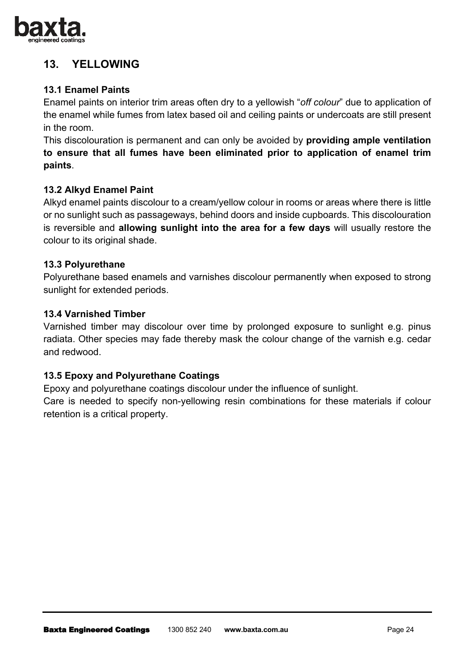

# **13. YELLOWING**

# **13.1 Enamel Paints**

Enamel paints on interior trim areas often dry to a yellowish "*off colour*" due to application of the enamel while fumes from latex based oil and ceiling paints or undercoats are still present in the room.

This discolouration is permanent and can only be avoided by **providing ample ventilation to ensure that all fumes have been eliminated prior to application of enamel trim paints**.

# **13.2 Alkyd Enamel Paint**

Alkyd enamel paints discolour to a cream/yellow colour in rooms or areas where there is little or no sunlight such as passageways, behind doors and inside cupboards. This discolouration is reversible and **allowing sunlight into the area for a few days** will usually restore the colour to its original shade.

## **13.3 Polyurethane**

Polyurethane based enamels and varnishes discolour permanently when exposed to strong sunlight for extended periods.

#### **13.4 Varnished Timber**

Varnished timber may discolour over time by prolonged exposure to sunlight e.g. pinus radiata. Other species may fade thereby mask the colour change of the varnish e.g. cedar and redwood.

# **13.5 Epoxy and Polyurethane Coatings**

Epoxy and polyurethane coatings discolour under the influence of sunlight.

Care is needed to specify non-yellowing resin combinations for these materials if colour retention is a critical property.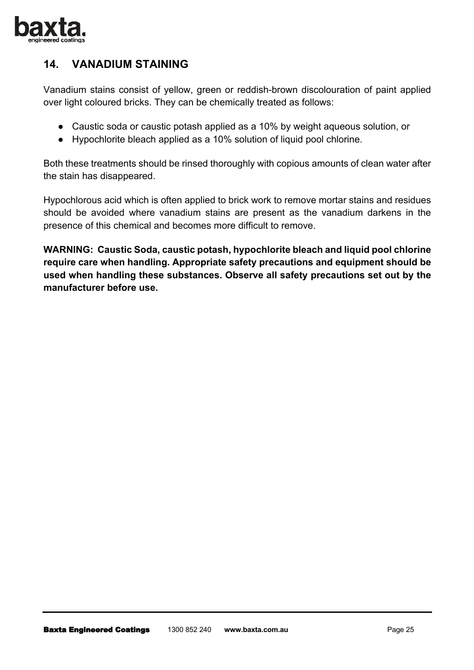

# **14. VANADIUM STAINING**

Vanadium stains consist of yellow, green or reddish-brown discolouration of paint applied over light coloured bricks. They can be chemically treated as follows:

- Caustic soda or caustic potash applied as a 10% by weight aqueous solution, or
- Hypochlorite bleach applied as a 10% solution of liquid pool chlorine.

Both these treatments should be rinsed thoroughly with copious amounts of clean water after the stain has disappeared.

Hypochlorous acid which is often applied to brick work to remove mortar stains and residues should be avoided where vanadium stains are present as the vanadium darkens in the presence of this chemical and becomes more difficult to remove.

**WARNING: Caustic Soda, caustic potash, hypochlorite bleach and liquid pool chlorine require care when handling. Appropriate safety precautions and equipment should be used when handling these substances. Observe all safety precautions set out by the manufacturer before use.**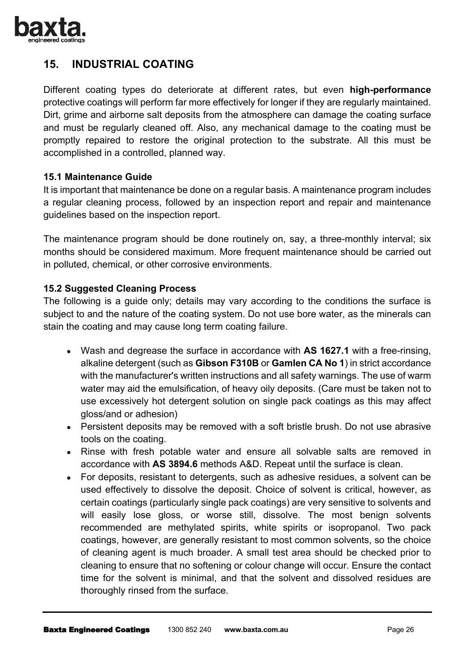

# **15. INDUSTRIAL COATING**

Different coating types do deteriorate at different rates, but even **high-performance** protective coatings will perform far more effectively for longer if they are regularly maintained. Dirt, grime and airborne salt deposits from the atmosphere can damage the coating surface and must be regularly cleaned off. Also, any mechanical damage to the coating must be promptly repaired to restore the original protection to the substrate. All this must be accomplished in a controlled, planned way.

## **15.1 Maintenance Guide**

It is important that maintenance be done on a regular basis. A maintenance program includes a regular cleaning process, followed by an inspection report and repair and maintenance guidelines based on the inspection report.

The maintenance program should be done routinely on, say, a three-monthly interval; six months should be considered maximum. More frequent maintenance should be carried out in polluted, chemical, or other corrosive environments.

## **15.2 Suggested Cleaning Process**

The following is a guide only; details may vary according to the conditions the surface is subject to and the nature of the coating system. Do not use bore water, as the minerals can stain the coating and may cause long term coating failure.

- Wash and degrease the surface in accordance with **AS 1627.1** with a free-rinsing, alkaline detergent (such as **Gibson F310B** or **Gamlen CA No 1**) in strict accordance with the manufacturer's written instructions and all safety warnings. The use of warm water may aid the emulsification, of heavy oily deposits. (Care must be taken not to use excessively hot detergent solution on single pack coatings as this may affect gloss/and or adhesion)
- Persistent deposits may be removed with a soft bristle brush. Do not use abrasive tools on the coating.
- Rinse with fresh potable water and ensure all solvable salts are removed in accordance with **AS 3894.6** methods A&D. Repeat until the surface is clean.
- For deposits, resistant to detergents, such as adhesive residues, a solvent can be used effectively to dissolve the deposit. Choice of solvent is critical, however, as certain coatings (particularly single pack coatings) are very sensitive to solvents and will easily lose gloss, or worse still, dissolve. The most benign solvents recommended are methylated spirits, white spirits or isopropanol. Two pack coatings, however, are generally resistant to most common solvents, so the choice of cleaning agent is much broader. A small test area should be checked prior to cleaning to ensure that no softening or colour change will occur. Ensure the contact time for the solvent is minimal, and that the solvent and dissolved residues are thoroughly rinsed from the surface.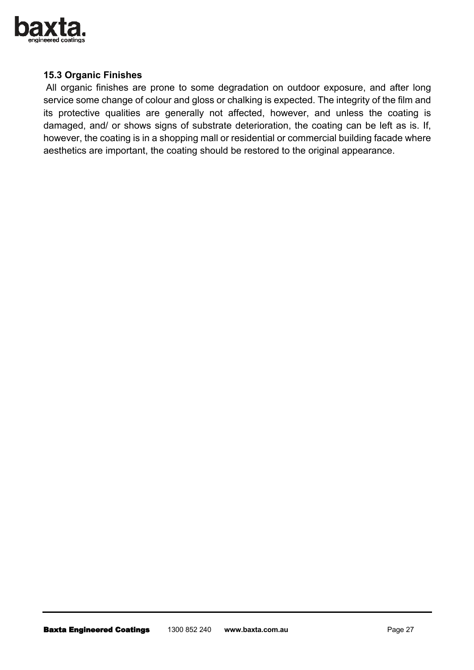

#### **15.3 Organic Finishes**

 All organic finishes are prone to some degradation on outdoor exposure, and after long service some change of colour and gloss or chalking is expected. The integrity of the film and its protective qualities are generally not affected, however, and unless the coating is damaged, and/ or shows signs of substrate deterioration, the coating can be left as is. If, however, the coating is in a shopping mall or residential or commercial building facade where aesthetics are important, the coating should be restored to the original appearance.